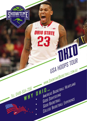